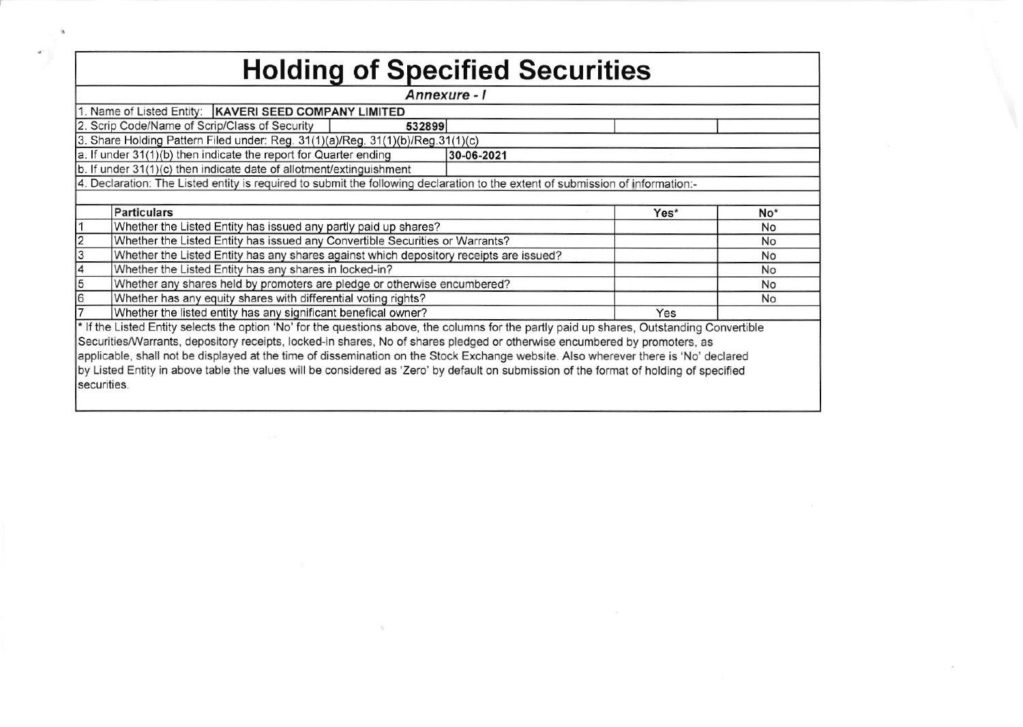| <b>Holding of Specified Securities</b>                                                                                                     |                                                                          |    |     |  |  |  |  |  |  |  |  |  |  |
|--------------------------------------------------------------------------------------------------------------------------------------------|--------------------------------------------------------------------------|----|-----|--|--|--|--|--|--|--|--|--|--|
| Annexure - I                                                                                                                               |                                                                          |    |     |  |  |  |  |  |  |  |  |  |  |
| 1. Name of Listed Entity:   KAVERI SEED COMPANY LIMITED                                                                                    |                                                                          |    |     |  |  |  |  |  |  |  |  |  |  |
| 2. Scrip Code/Name of Scrip/Class of Security<br>532899                                                                                    |                                                                          |    |     |  |  |  |  |  |  |  |  |  |  |
| 3. Share Holding Pattern Filed under: Reg. 31(1)(a)/Reg. 31(1)(b)/Reg.31(1)(c)                                                             |                                                                          |    |     |  |  |  |  |  |  |  |  |  |  |
| a. If under 31(1)(b) then indicate the report for Quarter ending<br>30-06-2021                                                             |                                                                          |    |     |  |  |  |  |  |  |  |  |  |  |
| b. If under 31(1)(c) then indicate date of allotment/extinguishment                                                                        |                                                                          |    |     |  |  |  |  |  |  |  |  |  |  |
| 4. Declaration: The Listed entity is required to submit the following declaration to the extent of submission of information:-             |                                                                          |    |     |  |  |  |  |  |  |  |  |  |  |
|                                                                                                                                            |                                                                          |    | No* |  |  |  |  |  |  |  |  |  |  |
| <b>Particulars</b><br>Yes*                                                                                                                 |                                                                          |    |     |  |  |  |  |  |  |  |  |  |  |
| Whether the Listed Entity has issued any partly paid up shares?                                                                            |                                                                          |    | No  |  |  |  |  |  |  |  |  |  |  |
| Whether the Listed Entity has issued any Convertible Securities or Warrants?                                                               |                                                                          | No |     |  |  |  |  |  |  |  |  |  |  |
| Whether the Listed Entity has any shares against which depository receipts are issued?                                                     |                                                                          |    | No  |  |  |  |  |  |  |  |  |  |  |
| Whether the Listed Entity has any shares in locked-in?                                                                                     |                                                                          | No |     |  |  |  |  |  |  |  |  |  |  |
|                                                                                                                                            | Whether any shares held by promoters are pledge or otherwise encumbered? |    |     |  |  |  |  |  |  |  |  |  |  |
| Whether has any equity shares with differential voting rights?                                                                             |                                                                          |    | No  |  |  |  |  |  |  |  |  |  |  |
|                                                                                                                                            | Whether the listed entity has any significant benefical owner?<br>Yes    |    |     |  |  |  |  |  |  |  |  |  |  |
| * If the Listed Entity selects the option 'No' for the questions above, the columns for the partly paid up shares, Outstanding Convertible |                                                                          |    |     |  |  |  |  |  |  |  |  |  |  |
| Securities/Warrants, depository receipts, locked-in shares, No of shares pledged or otherwise encumbered by promoters, as                  |                                                                          |    |     |  |  |  |  |  |  |  |  |  |  |
| applicable, shall not be displayed at the time of dissemination on the Stock Exchange website. Also wherever there is 'No' declared        |                                                                          |    |     |  |  |  |  |  |  |  |  |  |  |
| by Listed Entity in above table the values will be considered as 'Zero' by default on submission of the format of holding of specified     |                                                                          |    |     |  |  |  |  |  |  |  |  |  |  |
| securities.                                                                                                                                |                                                                          |    |     |  |  |  |  |  |  |  |  |  |  |
|                                                                                                                                            |                                                                          |    |     |  |  |  |  |  |  |  |  |  |  |

 $\sim$ 

the control of the con-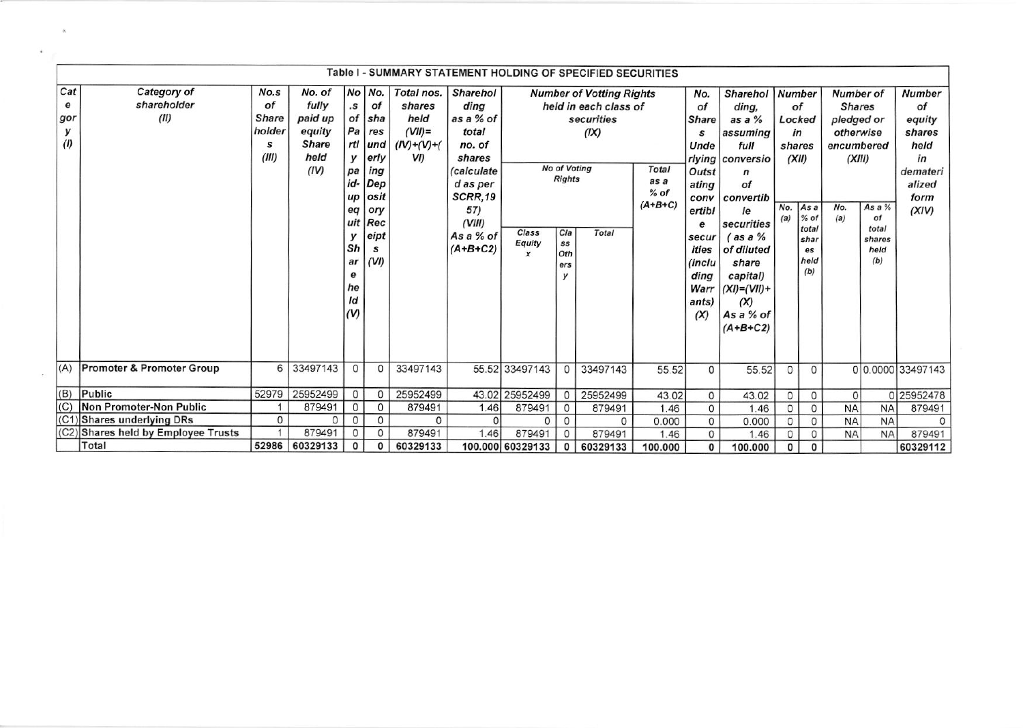|                             |                                      |                                                    |                                                                      |                                                                           |                                                                                                                    |                                                                                |                                                                                                                                                    |                                     |                                                                      | Table I - SUMMARY STATEMENT HOLDING OF SPECIFIED SECURITIES                             |                                             |                                                                                                                                             |                                                                                                                                                                                                                                             |                                       |                                                                                     |                                                                                                    |                                                |                                                                                              |
|-----------------------------|--------------------------------------|----------------------------------------------------|----------------------------------------------------------------------|---------------------------------------------------------------------------|--------------------------------------------------------------------------------------------------------------------|--------------------------------------------------------------------------------|----------------------------------------------------------------------------------------------------------------------------------------------------|-------------------------------------|----------------------------------------------------------------------|-----------------------------------------------------------------------------------------|---------------------------------------------|---------------------------------------------------------------------------------------------------------------------------------------------|---------------------------------------------------------------------------------------------------------------------------------------------------------------------------------------------------------------------------------------------|---------------------------------------|-------------------------------------------------------------------------------------|----------------------------------------------------------------------------------------------------|------------------------------------------------|----------------------------------------------------------------------------------------------|
| Cat<br>e<br>gor<br>v<br>(1) | Category of<br>shareholder<br>(II)   | No.s<br>of<br><b>Share</b><br>holder<br>s<br>(III) | No. of<br>fully<br>paid up<br>equity<br><b>Share</b><br>held<br>(IV) | .s<br>y<br>pa<br>id-<br>up<br>eq<br>y<br>Sh<br>ar<br>е<br>he<br>ld<br>(V) | No No.<br>of<br>of sha<br>$Pa$ res<br>rtl und<br>erly<br>ing<br>Dep<br>osit<br>ory<br>uit Rec<br>eipt<br>s<br>(VI) | Total nos.<br>shares<br>held<br>$(VII)$ =<br>$(IV)+(V)+(V)$<br>V <sub>II</sub> | <b>Sharehol</b><br>dina<br>as a % of<br>total<br>no. of<br>shares<br>(calculate<br>d as per<br>SCRR,19<br>57)<br>(VIII)<br>As a % of<br>$(A+B+C2)$ | Class<br>Equity<br>$\boldsymbol{x}$ | <b>No of Voting</b><br><b>Rights</b><br>Cla<br>SS<br>Oth<br>ers<br>у | <b>Number of Votting Rights</b><br>held in each class of<br>securities<br>(IX)<br>Total | <b>Total</b><br>as a<br>$%$ of<br>$(A+B+C)$ | No.<br>of<br><b>Share</b><br>s<br>Unde<br>Outst<br>ating<br>conv<br>ertibl<br>e<br>secur<br>ities<br>(inclu<br>ding<br>Warr<br>ants)<br>(X) | <b>Sharehol</b><br>dina.<br>as a $%$<br>assuming<br>full<br>rlying conversio<br>$\mathbf n$<br>of<br>convertib<br>le<br>securities<br>$($ as a $%$<br>of diluted<br>share<br>capital)<br>$(XI) = (VII) +$<br>(X)<br>As a % of<br>$(A+B+C2)$ | <b>Number</b><br>Locked<br>No.<br>(a) | of<br>in<br>shares<br>(XII)<br> Asa<br>$%$ of<br>total<br>shar<br>es<br>held<br>(b) | <b>Number of</b><br><b>Shares</b><br>pledged or<br>otherwise<br>encumbered<br>(XIII)<br>No.<br>(a) | As a %<br>of<br>total<br>shares<br>held<br>(b) | <b>Number</b><br>of<br>equity<br>shares<br>held<br>in<br>demateri<br>alized<br>form<br>(XIV) |
| (A)                         | <b>Promoter &amp; Promoter Group</b> | 6                                                  | 33497143                                                             | $\Omega$                                                                  | $\Omega$                                                                                                           | 33497143                                                                       |                                                                                                                                                    | 55.52 33497143                      | $\circ$                                                              | 33497143                                                                                | 55.52                                       | $\Omega$                                                                                                                                    | 55.52                                                                                                                                                                                                                                       | $\Omega$                              | $\Omega$                                                                            |                                                                                                    |                                                | 0 0.0000 33497143                                                                            |
| (B)                         | Public                               | 52979                                              | 25952499                                                             | $\circ$                                                                   | 0                                                                                                                  | 25952499                                                                       |                                                                                                                                                    | 43.02 25952499                      | $\mathbf{0}$                                                         | 25952499                                                                                | 43.02                                       | $\mathbf{0}$                                                                                                                                | 43.02                                                                                                                                                                                                                                       | 0                                     | $\mathbf{0}$                                                                        | $\Omega$                                                                                           |                                                | 0 25952478                                                                                   |
| (C)                         | Non Promoter-Non Public              |                                                    | 879491                                                               | $\mathbf 0$                                                               | 0                                                                                                                  | 879491                                                                         | 1.46                                                                                                                                               | 879491                              | $\mathbf 0$                                                          | 879491                                                                                  | 1.46                                        | $\mathsf{o}$                                                                                                                                | 1.46                                                                                                                                                                                                                                        | $\Omega$                              | $\Omega$                                                                            | <b>NA</b>                                                                                          | <b>NA</b>                                      | 879491                                                                                       |
| (C <sub>1</sub> )           | Shares underlying DRs                | $\mathbf{0}$                                       | 0                                                                    | $\mathsf{O}$                                                              | 0                                                                                                                  | 0                                                                              | $\Omega$                                                                                                                                           | $\Omega$                            | $\Omega$                                                             | $\Omega$                                                                                | 0.000                                       | $\mathsf{o}$                                                                                                                                | 0.000                                                                                                                                                                                                                                       | $\Omega$                              | $\circ$                                                                             | <b>NA</b>                                                                                          | <b>NA</b>                                      | 0                                                                                            |
|                             | (C2) Shares held by Employee Trusts  |                                                    | 879491                                                               | $\circ$                                                                   | $\mathbf{0}$                                                                                                       | 879491                                                                         | 1.46                                                                                                                                               | 879491                              | $\mathbf{0}$                                                         | 879491                                                                                  | 1.46                                        | 0                                                                                                                                           | 1.46                                                                                                                                                                                                                                        | 0                                     | $\circ$                                                                             | <b>NA</b>                                                                                          | <b>NA</b>                                      | 879491                                                                                       |
|                             | Total                                |                                                    | 52986 60329133                                                       | $^{\circ}$                                                                | 0                                                                                                                  | 60329133                                                                       |                                                                                                                                                    | 100.000 60329133                    | $\mathbf{0}$                                                         | 60329133                                                                                | 100.000                                     | 0                                                                                                                                           | 100.000                                                                                                                                                                                                                                     | $\Omega$                              | $\Omega$                                                                            |                                                                                                    |                                                | 60329112                                                                                     |

 $\sim$   $\sim$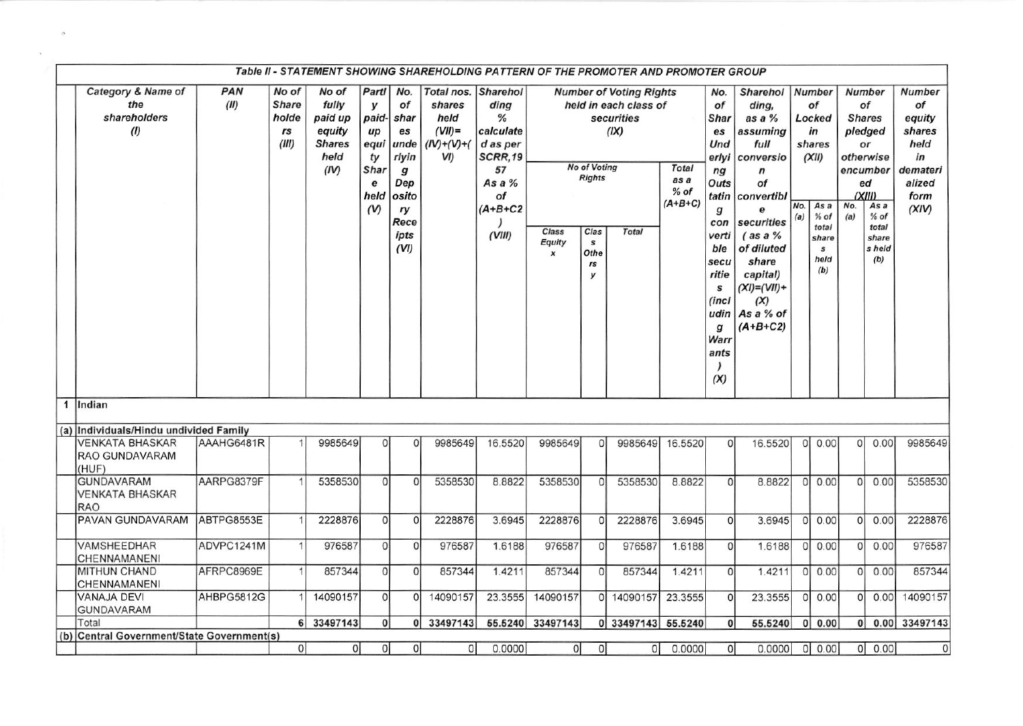| Table II - STATEMENT SHOWING SHAREHOLDING PATTERN OF THE PROMOTER AND PROMOTER GROUP |             |                                               |                                                                      |                                                                        |                                                                                             |                                                                             |                                                                                              |                                     |                                                                                 |                                                                                                      |                                             |                                                                                                                                                                                    |                                                                                                                                                                                                                                      |            |                                                                                                                           |                |                                                                                                                                                     |                                                                                       |
|--------------------------------------------------------------------------------------|-------------|-----------------------------------------------|----------------------------------------------------------------------|------------------------------------------------------------------------|---------------------------------------------------------------------------------------------|-----------------------------------------------------------------------------|----------------------------------------------------------------------------------------------|-------------------------------------|---------------------------------------------------------------------------------|------------------------------------------------------------------------------------------------------|---------------------------------------------|------------------------------------------------------------------------------------------------------------------------------------------------------------------------------------|--------------------------------------------------------------------------------------------------------------------------------------------------------------------------------------------------------------------------------------|------------|---------------------------------------------------------------------------------------------------------------------------|----------------|-----------------------------------------------------------------------------------------------------------------------------------------------------|---------------------------------------------------------------------------------------|
| Category & Name of<br>the<br>shareholders<br>(1)                                     | PAN<br>(II) | No of<br><b>Share</b><br>holde<br>rs<br>(III) | No of<br>fully<br>paid up<br>equity<br><b>Shares</b><br>held<br>(IV) | Partl<br>у<br>paid-<br>$\mu$<br>equi<br>ty<br>Shar<br>e<br>held<br>(V) | No.<br>of<br>shar<br>es<br>unde<br>rlyin<br>g<br>Dep<br>osito<br>ry<br>Rece<br>ipts<br>(VI) | Total nos. Sharehol<br>shares<br>held<br>$(VII)$ =<br>$(IV)+(V)+(V)$<br>VI) | ding<br>%<br>calculate<br>d as per<br>SCRR,19<br>57<br>As a $%$<br>Οf<br>$(A+B+C2$<br>(VIII) | Class<br>Equity<br>$\boldsymbol{x}$ | <b>No of Voting</b><br><b>Rights</b><br>Clas<br>$\mathbf{s}$<br>Othe<br>rs<br>y | <b>Number of Voting Rights</b><br>held in each class of<br><b>securities</b><br>(IX)<br><b>Total</b> | <b>Total</b><br>as a<br>$%$ of<br>$(A+B+C)$ | No.<br>of<br><b>Shar</b><br>es<br>Und<br>erlyi<br>n <sub>g</sub><br>Outs<br>tatin<br>g<br>con<br>verti<br>ble<br>secu<br>ritie<br>s<br>(incl<br>udin  <br>g<br>Warr<br>ants<br>(X) | <b>Sharehol</b><br>ding,<br>as a %<br>assuming<br>full<br>conversio<br>$\boldsymbol{n}$<br>of<br>convertibl<br>e<br>securities<br>$($ as a $%$<br>of diluted<br>share<br>capital)<br>$(XI)=(VII)+$<br>(X)<br>As a % of<br>$(A+B+C2)$ | No.<br>(a) | <b>Number</b><br>of<br>Locked<br>in<br>shares<br>(XII)<br>As a<br>$%$ of<br>total<br>share<br>$\mathbf{s}$<br>held<br>(b) | No.<br>(a)     | <b>Number</b><br>of<br><b>Shares</b><br>pledged<br>or<br>otherwise<br>encumber<br>ed<br>(XIII)<br>As a<br>$%$ of<br>total<br>share<br>s held<br>(b) | Number<br>of<br>equity<br>shares<br>held<br>in<br>demateri<br>alized<br>form<br>(XIV) |
| 1 Indian                                                                             |             |                                               |                                                                      |                                                                        |                                                                                             |                                                                             |                                                                                              |                                     |                                                                                 |                                                                                                      |                                             |                                                                                                                                                                                    |                                                                                                                                                                                                                                      |            |                                                                                                                           |                |                                                                                                                                                     |                                                                                       |
| (a) Individuals/Hindu undivided Family                                               |             |                                               |                                                                      |                                                                        |                                                                                             |                                                                             |                                                                                              |                                     |                                                                                 |                                                                                                      |                                             |                                                                                                                                                                                    |                                                                                                                                                                                                                                      |            |                                                                                                                           |                |                                                                                                                                                     |                                                                                       |
| <b>VENKATA BHASKAR</b><br>RAO GUNDAVARAM<br>(HUF)                                    | AAAHG6481R  |                                               | 9985649                                                              | $\Omega$                                                               | $\Omega$                                                                                    | 9985649                                                                     | 16.5520                                                                                      | 9985649                             | O                                                                               | 9985649                                                                                              | 16.5520                                     | $\circ$                                                                                                                                                                            | 16.5520                                                                                                                                                                                                                              |            | 0 0.00                                                                                                                    | $\circ$        | 0.00                                                                                                                                                | 9985649                                                                               |
| <b>GUNDAVARAM</b><br>VENKATA BHASKAR<br><b>RAO</b>                                   | AARPG8379F  |                                               | 5358530                                                              | $\Omega$                                                               | $\Omega$                                                                                    | 5358530                                                                     | 8.8822                                                                                       | 5358530                             | 0                                                                               | 5358530                                                                                              | 8.8822                                      | $\Omega$                                                                                                                                                                           | 8.8822                                                                                                                                                                                                                               | 0          | 0.00                                                                                                                      | $\Omega$       | 0.00                                                                                                                                                | 5358530                                                                               |
| PAVAN GUNDAVARAM                                                                     | ABTPG8553E  |                                               | 2228876                                                              | $\Omega$                                                               | $\Omega$                                                                                    | 2228876                                                                     | 3.6945                                                                                       | 2228876                             | $\Omega$                                                                        | 2228876                                                                                              | 3.6945                                      | $\Omega$                                                                                                                                                                           | 3.6945                                                                                                                                                                                                                               |            | 0 0.00                                                                                                                    | 0              | 0.00                                                                                                                                                | 2228876                                                                               |
| <b>VAMSHEEDHAR</b><br>CHENNAMANENI                                                   | ADVPC1241M  |                                               | 976587                                                               | $\Omega$                                                               | $\Omega$                                                                                    | 976587                                                                      | 1.6188                                                                                       | 976587                              | $\Omega$                                                                        | 976587                                                                                               | 1.6188                                      | $\Omega$                                                                                                                                                                           | 1.6188                                                                                                                                                                                                                               |            | 0 0.00                                                                                                                    | $\Omega$       | 0.00                                                                                                                                                | 976587                                                                                |
| MITHUN CHAND<br>CHENNAMANENI                                                         | AFRPC8969E  |                                               | 857344                                                               | $\circ$                                                                | $\Omega$                                                                                    | 857344                                                                      | 1.4211                                                                                       | 857344                              | 0                                                                               | 857344                                                                                               | 1.4211                                      | $\Omega$                                                                                                                                                                           | 1.4211                                                                                                                                                                                                                               |            | 0 0.00                                                                                                                    | 0              | 0.00                                                                                                                                                | 857344                                                                                |
| <b>VANAJA DEVI</b><br>GUNDAVARAM                                                     | AHBPG5812G  |                                               | 14090157                                                             | 0                                                                      | <sup>0</sup>                                                                                | 14090157                                                                    | 23.3555                                                                                      | 14090157                            | οl                                                                              | 14090157                                                                                             | 23.3555                                     | $\Omega$                                                                                                                                                                           | 23.3555                                                                                                                                                                                                                              | $\Omega$   | 0.00                                                                                                                      | 0I             | 0.00                                                                                                                                                | 14090157                                                                              |
| Total                                                                                |             |                                               | 6 33497143                                                           | $\Omega$                                                               | οI                                                                                          | 33497143                                                                    |                                                                                              | 55.5240 33497143                    |                                                                                 | 0 33497143 55.5240                                                                                   |                                             | $\mathbf{0}$                                                                                                                                                                       | 55.5240                                                                                                                                                                                                                              | 0          | 0.00                                                                                                                      | 0 <sup>1</sup> |                                                                                                                                                     | 0.00 33497143                                                                         |
| (b) Central Government/State Government(s)                                           |             |                                               |                                                                      |                                                                        |                                                                                             |                                                                             |                                                                                              |                                     |                                                                                 |                                                                                                      |                                             |                                                                                                                                                                                    |                                                                                                                                                                                                                                      |            |                                                                                                                           |                |                                                                                                                                                     |                                                                                       |
|                                                                                      |             | 0                                             | 0                                                                    | $\overline{0}$                                                         | 0                                                                                           | $\Omega$                                                                    | 0.0000                                                                                       | $\overline{0}$                      | 0                                                                               | 0                                                                                                    | 0.0000                                      | 0                                                                                                                                                                                  | 0.0000                                                                                                                                                                                                                               |            | 0 0.00                                                                                                                    |                | 0 0.00                                                                                                                                              | $\mathsf{O}\xspace$                                                                   |

 $\mathcal{F}_{\mathcal{G}}$